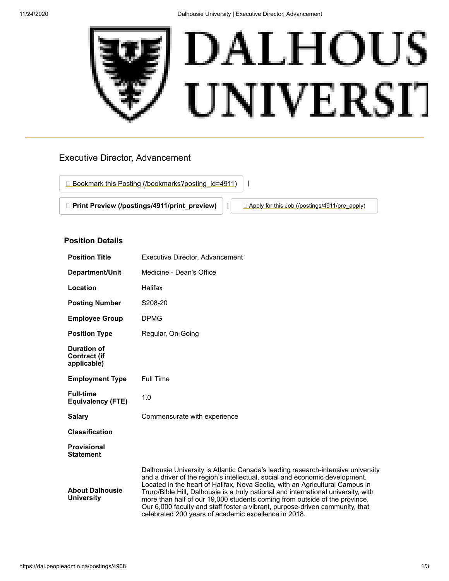

# Executive Director, Advancement

□ [Bookmark this Posting \(/bookmarks?posting\\_id=4911\)](https://dal.peopleadmin.ca/bookmarks?posting_id=4911)

□ **[Print Preview \(/postings/4911/print\\_preview\)](https://dal.peopleadmin.ca/postings/4911/print_preview)** | | **△ [Apply for this Job \(/postings/4911/pre\\_apply\)](https://dal.peopleadmin.ca/postings/4911/pre_apply)** 

## **Position Details**

| <b>Position Title</b>                                    | <b>Executive Director, Advancement</b>                                                                                                                                                                                                                                                                                                                                                                                                                                                                                                                     |
|----------------------------------------------------------|------------------------------------------------------------------------------------------------------------------------------------------------------------------------------------------------------------------------------------------------------------------------------------------------------------------------------------------------------------------------------------------------------------------------------------------------------------------------------------------------------------------------------------------------------------|
| Department/Unit                                          | Medicine - Dean's Office                                                                                                                                                                                                                                                                                                                                                                                                                                                                                                                                   |
| Location                                                 | Halifax                                                                                                                                                                                                                                                                                                                                                                                                                                                                                                                                                    |
| <b>Posting Number</b>                                    | S208-20                                                                                                                                                                                                                                                                                                                                                                                                                                                                                                                                                    |
| <b>Employee Group</b>                                    | <b>DPMG</b>                                                                                                                                                                                                                                                                                                                                                                                                                                                                                                                                                |
| <b>Position Type</b>                                     | Regular, On-Going                                                                                                                                                                                                                                                                                                                                                                                                                                                                                                                                          |
| <b>Duration of</b><br><b>Contract (if</b><br>applicable) |                                                                                                                                                                                                                                                                                                                                                                                                                                                                                                                                                            |
| <b>Employment Type</b>                                   | Full Time                                                                                                                                                                                                                                                                                                                                                                                                                                                                                                                                                  |
| <b>Full-time</b><br><b>Equivalency (FTE)</b>             | 1.0                                                                                                                                                                                                                                                                                                                                                                                                                                                                                                                                                        |
| <b>Salary</b>                                            | Commensurate with experience                                                                                                                                                                                                                                                                                                                                                                                                                                                                                                                               |
| <b>Classification</b>                                    |                                                                                                                                                                                                                                                                                                                                                                                                                                                                                                                                                            |
| <b>Provisional</b><br><b>Statement</b>                   |                                                                                                                                                                                                                                                                                                                                                                                                                                                                                                                                                            |
| <b>About Dalhousie</b><br><b>University</b>              | Dalhousie University is Atlantic Canada's leading research-intensive university<br>and a driver of the region's intellectual, social and economic development.<br>Located in the heart of Halifax, Nova Scotia, with an Agricultural Campus in<br>Truro/Bible Hill, Dalhousie is a truly national and international university, with<br>more than half of our 19,000 students coming from outside of the province.<br>Our 6,000 faculty and staff foster a vibrant, purpose-driven community, that<br>celebrated 200 years of academic excellence in 2018. |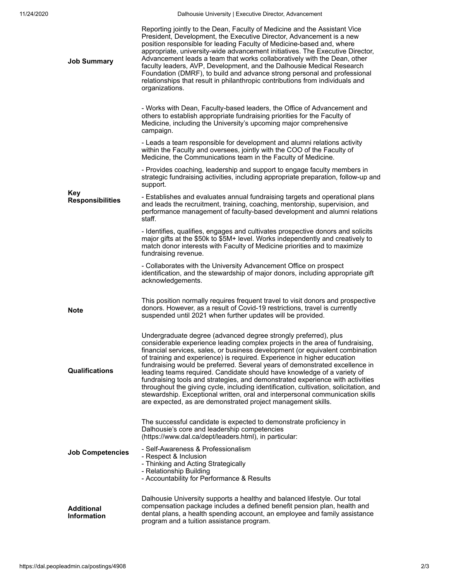| <b>Job Summary</b>                      | Reporting jointly to the Dean, Faculty of Medicine and the Assistant Vice<br>President, Development, the Executive Director, Advancement is a new<br>position responsible for leading Faculty of Medicine-based and, where<br>appropriate, university-wide advancement initiatives. The Executive Director,<br>Advancement leads a team that works collaboratively with the Dean, other<br>faculty leaders, AVP, Development, and the Dalhousie Medical Research<br>Foundation (DMRF), to build and advance strong personal and professional<br>relationships that result in philanthropic contributions from individuals and<br>organizations.                                                                                                                                                  |
|-----------------------------------------|--------------------------------------------------------------------------------------------------------------------------------------------------------------------------------------------------------------------------------------------------------------------------------------------------------------------------------------------------------------------------------------------------------------------------------------------------------------------------------------------------------------------------------------------------------------------------------------------------------------------------------------------------------------------------------------------------------------------------------------------------------------------------------------------------|
| Key<br><b>Responsibilities</b>          | - Works with Dean, Faculty-based leaders, the Office of Advancement and<br>others to establish appropriate fundraising priorities for the Faculty of<br>Medicine, including the University's upcoming major comprehensive<br>campaign.                                                                                                                                                                                                                                                                                                                                                                                                                                                                                                                                                           |
|                                         | - Leads a team responsible for development and alumni relations activity<br>within the Faculty and oversees, jointly with the COO of the Faculty of<br>Medicine, the Communications team in the Faculty of Medicine.                                                                                                                                                                                                                                                                                                                                                                                                                                                                                                                                                                             |
|                                         | - Provides coaching, leadership and support to engage faculty members in<br>strategic fundraising activities, including appropriate preparation, follow-up and<br>support.                                                                                                                                                                                                                                                                                                                                                                                                                                                                                                                                                                                                                       |
|                                         | - Establishes and evaluates annual fundraising targets and operational plans<br>and leads the recruitment, training, coaching, mentorship, supervision, and<br>performance management of faculty-based development and alumni relations<br>staff.                                                                                                                                                                                                                                                                                                                                                                                                                                                                                                                                                |
|                                         | - Identifies, qualifies, engages and cultivates prospective donors and solicits<br>major gifts at the \$50k to \$5M+ level. Works independently and creatively to<br>match donor interests with Faculty of Medicine priorities and to maximize<br>fundraising revenue.                                                                                                                                                                                                                                                                                                                                                                                                                                                                                                                           |
|                                         | - Collaborates with the University Advancement Office on prospect<br>identification, and the stewardship of major donors, including appropriate gift<br>acknowledgements.                                                                                                                                                                                                                                                                                                                                                                                                                                                                                                                                                                                                                        |
| <b>Note</b>                             | This position normally requires frequent travel to visit donors and prospective<br>donors. However, as a result of Covid-19 restrictions, travel is currently<br>suspended until 2021 when further updates will be provided.                                                                                                                                                                                                                                                                                                                                                                                                                                                                                                                                                                     |
| <b>Qualifications</b>                   | Undergraduate degree (advanced degree strongly preferred), plus<br>considerable experience leading complex projects in the area of fundraising,<br>financial services, sales, or business development (or equivalent combination<br>of training and experience) is required. Experience in higher education<br>fundraising would be preferred. Several years of demonstrated excellence in<br>leading teams required. Candidate should have knowledge of a variety of<br>fundraising tools and strategies, and demonstrated experience with activities<br>throughout the giving cycle, including identification, cultivation, solicitation, and<br>stewardship. Exceptional written, oral and interpersonal communication skills<br>are expected, as are demonstrated project management skills. |
| <b>Job Competencies</b>                 | The successful candidate is expected to demonstrate proficiency in<br>Dalhousie's core and leadership competencies<br>(https://www.dal.ca/dept/leaders.html), in particular:                                                                                                                                                                                                                                                                                                                                                                                                                                                                                                                                                                                                                     |
|                                         | - Self-Awareness & Professionalism<br>- Respect & Inclusion<br>- Thinking and Acting Strategically<br>- Relationship Building<br>- Accountability for Performance & Results                                                                                                                                                                                                                                                                                                                                                                                                                                                                                                                                                                                                                      |
| <b>Additional</b><br><b>Information</b> | Dalhousie University supports a healthy and balanced lifestyle. Our total<br>compensation package includes a defined benefit pension plan, health and<br>dental plans, a health spending account, an employee and family assistance<br>program and a tuition assistance program.                                                                                                                                                                                                                                                                                                                                                                                                                                                                                                                 |